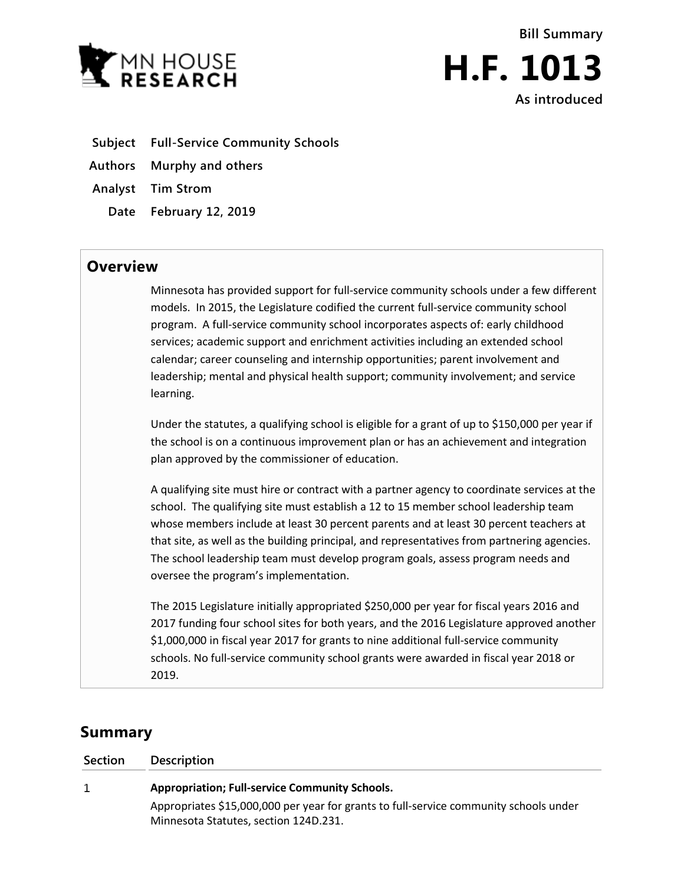



- **Subject Full-Service Community Schools**
- **Authors Murphy and others**
- **Analyst Tim Strom**
	- **Date February 12, 2019**

## **Overview**

Minnesota has provided support for full-service community schools under a few different models. In 2015, the Legislature codified the current full-service community school program. A full-service community school incorporates aspects of: early childhood services; academic support and enrichment activities including an extended school calendar; career counseling and internship opportunities; parent involvement and leadership; mental and physical health support; community involvement; and service learning.

Under the statutes, a qualifying school is eligible for a grant of up to \$150,000 per year if the school is on a continuous improvement plan or has an achievement and integration plan approved by the commissioner of education.

A qualifying site must hire or contract with a partner agency to coordinate services at the school. The qualifying site must establish a 12 to 15 member school leadership team whose members include at least 30 percent parents and at least 30 percent teachers at that site, as well as the building principal, and representatives from partnering agencies. The school leadership team must develop program goals, assess program needs and oversee the program's implementation.

The 2015 Legislature initially appropriated \$250,000 per year for fiscal years 2016 and 2017 funding four school sites for both years, and the 2016 Legislature approved another \$1,000,000 in fiscal year 2017 for grants to nine additional full-service community schools. No full-service community school grants were awarded in fiscal year 2018 or 2019.

## **Summary**

| Section | <b>Description</b>                                                                                                             |
|---------|--------------------------------------------------------------------------------------------------------------------------------|
| 1       | <b>Appropriation; Full-service Community Schools.</b>                                                                          |
|         | Appropriates \$15,000,000 per year for grants to full-service community schools under<br>Minnesota Statutes, section 124D.231. |